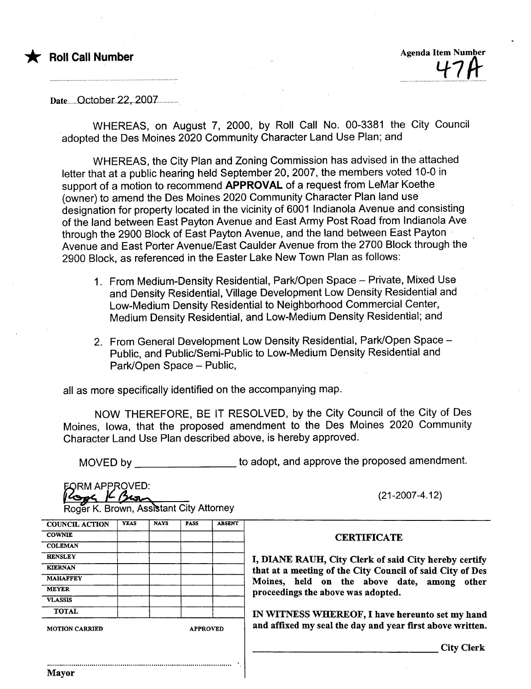

**Agenda Item Number** 

Date October 22, 2007

WHEREAS, on August 7, 2000, by Roll Call No. 00-3381 the City Council adopted the Des Moines 2020 Community Character Land Use Plan; and

WHEREAS, the City Plan and Zoning Commission has advised in the attached letter that at a public hearing held September 20, 2007, the members voted 10-0 in support of a motion to recommend APPROVAL of a request from LeMar Koethe (owner) to amend the Des Moines 2020 Community Character Plan land use designation for property located in the vicinity of 6001 Indianola Avenue and consisting of the land between East Payton Avenue and East Army Post Road from Indianola Ave through the 2900 Block of East Payton Avenue, and the land between East Payton Avenue and East Porter Avenue/East Caulder Avenue from the 2700 Block through the 2900 Block, as referenced in the Easter Lake New Town Plan as follows:

- 1. From Medium-Density Residential, Park/Open Space Private, Mixed Use and Density Residential, Village Development Low Density Residential and Low-Medium Density Residential to Neighborhood Commercial Center, Medium Density Residential, and Low-Medium Density Residential; and
- 2. From General Development Low Density Residential, Park/Open Space -Public, and Public/Semi-Public to Low-Medium Density Residential and Park/Open Space - Public,

all as more specifically identified on the accompanying map.

NOW THEREFORE, BE IT RESOLVED, by the City Council of the City of Des Moines, Iowa, that the proposed amendment to the Des Moines 2020 Community Character Land Use Plan described above, is hereby approved.

MOVED by \_\_\_\_\_\_\_\_\_\_\_\_\_\_\_\_\_\_\_\_\_\_ to adopt, and approve the proposed amendment.

**EORM APPROVED:** 

 $(21-2007-4.12)$ 

**Logged K** Brown, Assistant City Attorney

| <b>COUNCIL ACTION</b> | YEAS | <b>NAYS</b> | <b>PASS</b>     | <b>ABSENT</b> |  |
|-----------------------|------|-------------|-----------------|---------------|--|
| <b>COWNIE</b>         |      |             |                 |               |  |
| <b>COLEMAN</b>        |      |             |                 |               |  |
| <b>HENSLEY</b>        |      |             |                 |               |  |
| <b>KIERNAN</b>        |      |             |                 |               |  |
| <b>MAHAFFEY</b>       |      |             |                 |               |  |
| <b>MEYER</b>          |      |             |                 |               |  |
| <b>VLASSIS</b>        |      |             |                 |               |  |
| <b>TOTAL</b>          |      |             |                 |               |  |
| <b>MOTION CARRIED</b> |      |             | <b>APPROVED</b> |               |  |

**CERTIFICATE** 

, DIANE RAUH, City Clerk of said City hereby certify hat at a meeting of the City Council of said City of Des Moines, held on the above date, among other proceedings the above was adopted.

N WITNESS WHEREOF, I have hereunto set my hand and affixed my seal the day and year first above written.

**City Clerk**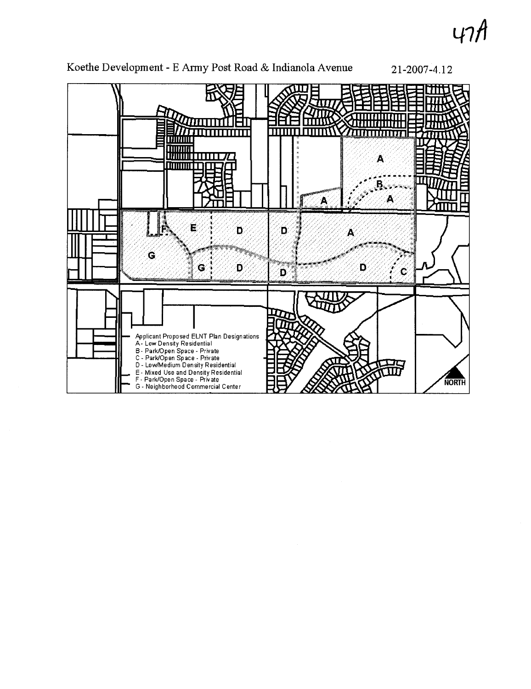47



Koethe Development - E Army Post Road & Indianola Avenue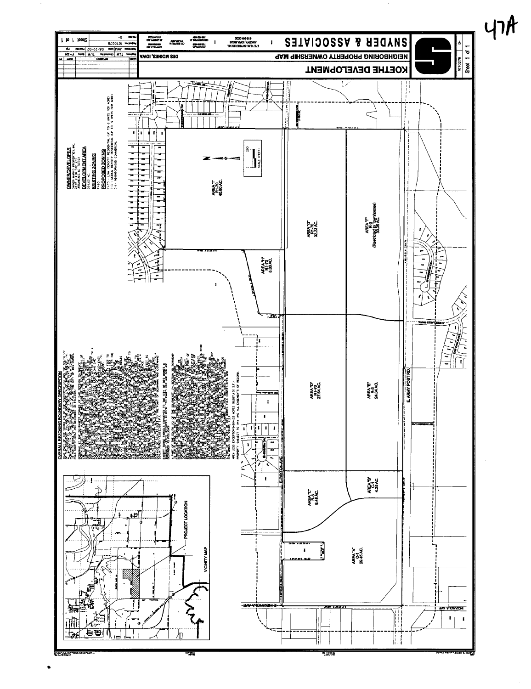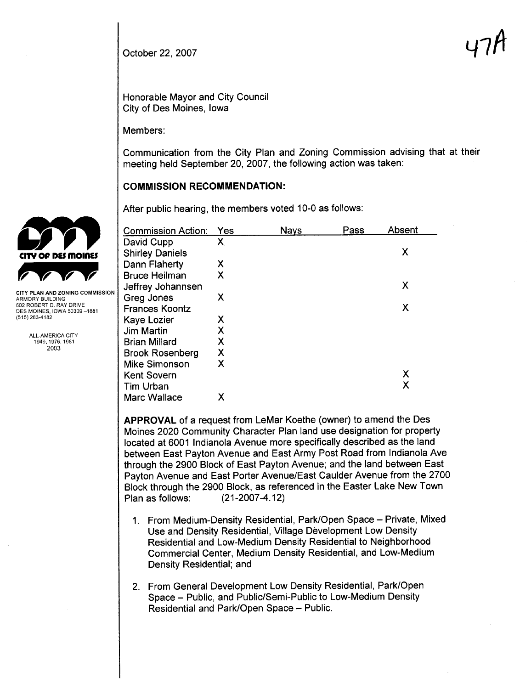October 22, 2007  $\mathsf{u}_1$ 

Honorable Mayor and City Council City of Des Moines, Iowa

Members:

Communication from the City Plan and Zoning Commission advising that at their meeting held September 20, 2007, the following action was taken:

## COMMISSION RECOMMENDATION:

|                                                                                                                                                                                       | After public hearing, the members voted 10-0 as follows: |   |             |      |        |  |  |
|---------------------------------------------------------------------------------------------------------------------------------------------------------------------------------------|----------------------------------------------------------|---|-------------|------|--------|--|--|
|                                                                                                                                                                                       | Commission Action: Yes                                   |   | <b>Nays</b> | Pass | Absent |  |  |
|                                                                                                                                                                                       | David Cupp                                               | X |             |      |        |  |  |
| CITY OP DES MOINES                                                                                                                                                                    | <b>Shirley Daniels</b>                                   |   |             |      | X      |  |  |
|                                                                                                                                                                                       | Dann Flaherty                                            | Х |             |      |        |  |  |
|                                                                                                                                                                                       | <b>Bruce Heilman</b>                                     | Χ |             |      |        |  |  |
|                                                                                                                                                                                       | Jeffrey Johannsen                                        |   |             |      | X      |  |  |
| <b>CITY PLAN AND ZONING COMMISSION</b><br>ARMORY BUILDING<br>602 ROBERT D. RAY DRIVE<br>DES MOINES, IOWA 50309-1881<br>(515) 283-4182<br>ALL-AMERICA CITY<br>1949, 1976, 1981<br>2003 | Greg Jones                                               | Χ |             |      |        |  |  |
|                                                                                                                                                                                       | <b>Frances Koontz</b>                                    |   |             |      | X      |  |  |
|                                                                                                                                                                                       | Kaye Lozier                                              | Х |             |      |        |  |  |
|                                                                                                                                                                                       | Jim Martin                                               | Χ |             |      |        |  |  |
|                                                                                                                                                                                       | <b>Brian Millard</b>                                     | Χ |             |      |        |  |  |
|                                                                                                                                                                                       | <b>Brook Rosenberg</b>                                   | Χ |             |      |        |  |  |
|                                                                                                                                                                                       | <b>Mike Simonson</b>                                     | Χ |             |      |        |  |  |
|                                                                                                                                                                                       | <b>Kent Sovern</b>                                       |   |             |      | X      |  |  |
|                                                                                                                                                                                       | Tim Urban                                                |   |             |      | X      |  |  |
|                                                                                                                                                                                       | Marc Wallace                                             | Χ |             |      |        |  |  |

APPROVAL of a request from LeMar Koethe (owner) to amend the Des Moines 2020 Community Character Plan land use designation for property located at 6001 Indianola Avenue more specifically described as the land between East Payton Avenue and East Army Post Road from Indianola Ave through the 2900 Block of East Payton Avenue; and the land between East Payton Avenue and East Porter Avenue/East Caulder Avenue from the 2700 Block through the 2900 Block, as referenced in the Easter Lake New Town Plan as follows: (21-2007 -4.12)

- 1. From Medium-Density Residential, Park/Open Space Private, Mixed Use and Density Residential, Village Development Low Density Residential and Low-Medium Density Residential to Neighborhood Commercial Center, Medium Density Residential, and Low-Medium Density Residential; and
- 2. From General Development Low Density Residential, Park/Open Space - Public, and Public/Semi-Public to Low-Medium Density Residential and Park/Open Space - Public.

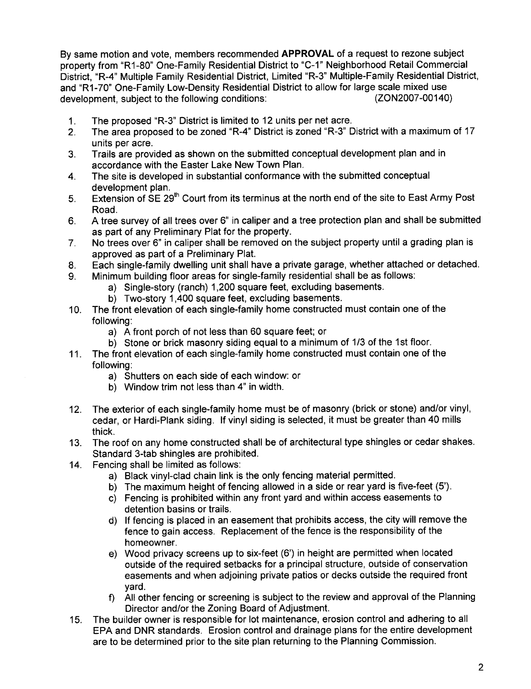By same motion and vote, members recommended APPROVAL of a request to rezone subject property from "R1-80" One-Family Residential District to "C-1" Neighborhood Retail Commercial District, "R-4" Multiple Family Residential District, Limited "R-3" Multiple-Family Residential District, and "R1-70" One-Family Low-Density Residential District to allow for large scale mixed use<br>development, subject to the following conditions: (ZON2007-00140) development, subject to the following conditions:

- 1. The proposed "R-3" District is limited to 12 units per net acre.
- 2. The area proposed to be zoned "R-4" District is zoned "R-3" District with a maximum of 17 units per acre.
- 3. Trails are provided as shown on the submitted conceptual development plan and in accordance with the Easter Lake New Town Plan.
- 4. The site is developed in substantial conformance with the submitted conceptual development plan.
- 5. Extension of SE 29<sup>th</sup> Court from its terminus at the north end of the site to East Army Post Road.
- 6. A tree survey of all trees over 6" in caliper and a tree protection plan and shall be submitted as part of any Preliminary Plat for the property.
- 7, No trees over 6" in caliper shall be removed on the subject property until a grading plan is approved as part of a Preliminary Plat.
- 8. Each single-family dwelling unit shall have a private garage, whether attached or detached.
- 9. Minimum building floor areas for single-family residential shall be as follows:
	- a) Single-story (ranch) 1,200 square feet, excluding basements.
	- b) Two-story 1,400 square feet, excluding basements.
- 10. The front elevation of each single-family home constructed must contain one of the following:
	- a) A front porch of not less than 60 square feet; or
	- b) Stone or brick masonry siding equal to a minimum of 1/3 of the 1st floor.
- 11. The front elevation of each single-family home constructed must contain one of the following:
	- a) Shutters on each side of each window: or
	- b) Window trim not less than 4" in width.
- 12. The exterior of each single-family home must be of masonry (brick or stone) and/or vinyl, cedar, or Hardi-Plank siding. If vinyl siding is selected, it must be greater than 40 mills thick.
- 13. The roof on any home constructed shall be of architectural type shingles or cedar shakes. Standard 3-tab shingles are prohibited.
- 14. Fencing shall be limited as follows:
	- a) Black vinyl-clad chain link is the only fencing material permitted.
	- b) The maximum height of fencing allowed in a side or rear yard is five-feet (5').
	- c) Fencing is prohibited within any front yard and within access easements to detention basins or trails.
	- d) If fencing is placed in an easement that prohibits access, the city will remove the fence to gain access. Replacement of the fence is the responsibility of the homeowner.
	- e) Wood privacy screens up to six-feet (6') in height are permitted when located outside of the required setbacks for a principal structure, outside of conservation easements and when adjoining private patios or decks outside the required front yard.
	- f) All other fencing or screening is subject to the review and approval of the Planning Director and/or the Zoning Board of Adjustment.
- 15. The builder owner is responsible for lot maintenance, erosion control and adhering to all EPA and DNR standards, Erosion control and drainage plans for the entire development are to be determined prior to the site plan returning to the Planning Commission.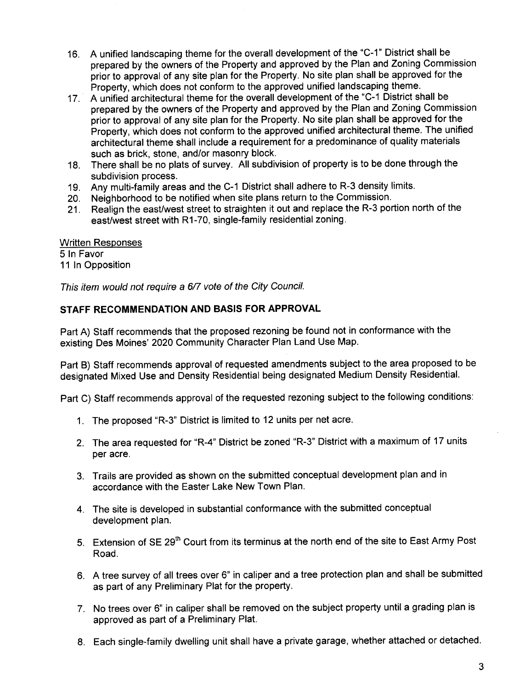- 16. A unified landscaping theme for the overall development of the "C\_1" District shall be prepared by the owners of the Property and approved by the Plan and Zoning Commission prior to approval of any site plan for the Property. No site plan shall be approved for the Property, which does not conform to the approved unified landscaping theme.
- 17. A unified architectural theme for the overall development of the "C-1 District shall be prepared by the owners of the Property and approved by the Plan and Zoning Commission prior to approval of any site plan for the Property. No site plan shall be approved for the Property, which does not conform to the approved unified architectural theme. The unified architectural theme shall include a requirement for a predominance of quality materials such as brick, stone, and/or masonry block.
- 18. There shall be no plats of survey. All subdivision of property is to be done through the subdivision process.
- 19. Any multi-family areas and the C-1 District shall adhere to R-3 density limits.
- 20. Neighborhood to be notified when site plans return to the Commission.
- 21. Realign the east/west street to straighten it out and replace the R-3 portion north of the east/west street with R1-70, single-family residential zoning.

Written Responses 5 In Favor 11 In Opposition

This item would not require a 6/7 vote of the City Council.

## STAFF RECOMMENDATION AND BASIS FOR APPROVAL

Part A) Staff recommends that the proposed rezoning be found not in conformance with the existing Des Moines' 2020 Community Character Plan Land Use Map.

Part B) Staff recommends approval of requested amendments subject to the area proposed to be designated Mixed Use and Density Residential being designated Medium Density ResidentiaL.

Part C) Staff recommends approval of the requested rezoning subject to the following conditions:

- 1. The proposed "R-3" District is limited to 12 units per net acre.
- 2. The area requested for "R-4" District be zoned "R-3" District with a maximum of 17 units per acre.
- 3. Trails are provided as shown on the submitted conceptual development plan and in accordance with the Easter Lake New Town Plan.
- 4, The site is developed in substantial conformance with the submitted conceptual development plan.
- 5. Extension of SE 29<sup>th</sup> Court from its terminus at the north end of the site to East Army Post Road.
- 6. A tree survey of all trees over 6" in caliper and a tree protection plan and shall be submitted as part of any Preliminary Plat for the property.
- 7. No trees over 6" in caliper shall be removed on the subject property until a grading plan is approved as part of a Preliminary Plat.
- 8. Each single-family dwelling unit shall have a private garage, whether attached or detached.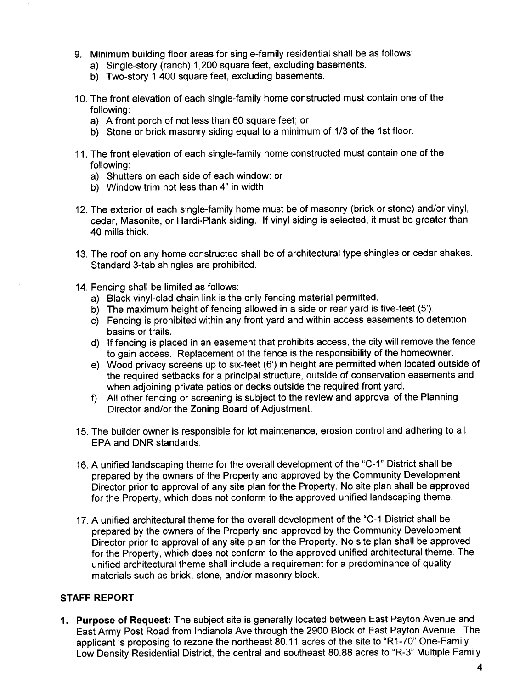- 9. Minimum building floor areas for single-family residential shall be as follows:
	- a) Single-story (ranch) 1,200 square feet, excluding basements.
	- b) Two-story 1,400 square feet, excluding basements.
- 10. The front elevation of each single-family home constructed must contain one of the following:
	- a) A front porch of not less than 60 square feet; or
	- b) Stone or brick masonry siding equal to a minimum of 1/3 of the 1st floor.
- 11. The front elevation of each single-family home constructed must contain one of the following:
	- a) Shutters on each side of each window: or
	- b) Window trim not less than 4" in width.
- 12. The exterior of each single-family home must be of masonry (brick or stone) and/or vinyl, cedar, Masonite, or Hardi-Plank siding. If vinyl siding is selected, it must be greater than 40 mils thick.
- 13. The roof on any home constructed shall be of architectural type shingles or cedar shakes. Standard 3-tab shingles are prohibited.
- 14. Fencing shall be limited as follows:
	- a) Black vinyl-clad chain link is the only fencing material permitted.
	- b) The maximum height of fencing allowed in a side or rear yard is five-feet (5').
	- c) Fencing is prohibited within any front yard and within access easements to detention basins or trails.
	- d) If fencing is placed in an easement that prohibits access, the city will remove the fence to gain access. Replacement of the fence is the responsibility of the homeowner.
	- e) Wood privacy screens up to six-feet (6') in height are permitted when located outside of the required setbacks for a principal structure, outside of conservation easements and when adjoining private patios or decks outside the required front yard.
	- f) All other fencing or screening is subject to the review and approval of the Planning Director and/or the Zoning Board of Adjustment.
- 15. The builder owner is responsible for lot maintenance, erosion control and adhering to all EPA and DNR standards.
- 16. A unified landscaping theme for the overall development of the "C-1" District shall be prepared by the owners of the Property and approved by the Community Development Director prior to approval of any site plan for the Property. No site plan shall be approved for the Property, which does not conform to the approved unified landscaping theme.
- 17. A unified architectural theme for the overall development of the "C-1 District shall be prepared by the owners of the Property and approved by the Community Development Director prior to approval of any site plan for the Property. No site plan shall be approved for the Property, which does not conform to the approved unified architectural theme. The unified architectural theme shall include a requirement for a predominance of quality materials such as brick, stone, and/or masonry block.

#### STAFF REPORT

1. Purpose of Request: The subject site is generally located between East Payton Avenue and East Army Post Road from Indianola Ave through the 2900 Block of East Payton Avenue. The applicant is proposing to rezone the northeast 80.11 acres of the site to "R1-70" One-Family Low Density Residential District, the central and southeast 80.88 acres to "R-3" Multiple Family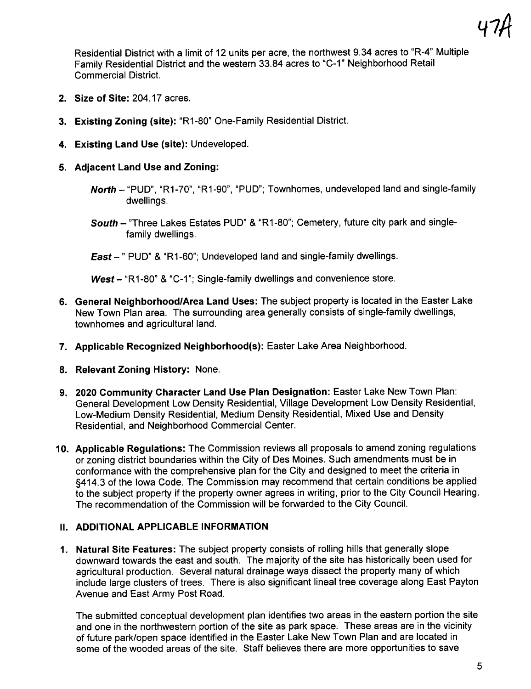Residential District with a limit of 12 units per acre, the northwest 9.34 acres to "R-4" Multiple Family Residential District and the western 33.84 acres to "C-1" Neighborhood Retail Commercial District.

- 2. Size of Site: 204.17 acres.
- 3. Existing Zoning (site): "R1-80" One-Family Residential District.
- 4. Existing Land Use (site): Undeveloped.
- 5. Adjacent Land Use and Zoning:
	- North "PUD", "R1-70", "R1-90", "PUD"; Townhomes, undeveloped land and single-family dwellings.
	- South "Three Lakes Estates PUD" & "R1-80"; Cemetery, future city park and singlefamily dwellings.

East-" PUD" & "R1-60"; Undeveloped land and single-family dwellings.

West - "R1-80" & "C-1"; Single-family dwellings and convenience store.

- 6. General Neighborhood/Area Land Uses: The subject property is located in the Easter Lake New Town Plan area. The surrounding area generally consists of single-family dwellings, townhomes and agricultural land.
- 7. Applicable Recognized Neighborhood(s): Easter Lake Area Neighborhood.
- 8. Relevant Zoning History: None.
- 9. 2020 Community Character Land Use Plan Designation: Easter Lake New Town Plan: General Development Low Density Residential, Village Development Low Density Residential, Low-Medium Density Residential, Medium Density Residential, Mixed Use and Density Residential, and Neighborhood Commercial Center.
- 10. Applicable Regulations: The Commission reviews all proposals to amend zoning regulations or zoning district boundaries within the City of Des Moines. Such amendments must be in conformance with the comprehensive plan for the City and designed to meet the criteria in §414.3 of the Iowa Code. The Commission may recommend that certain conditions be applied to the subject property if the property owner agrees in writing, prior to the City Council Hearing. The recommendation of the Commission will be forwarded to the City CounciL.

# II. ADDITIONAL APPLICABLE INFORMATION

1. Natural Site Features: The subject property consists of rolling hills that generally slope downward towards the east and south. The majority of the site has historically been used for agricultural production. Several natural drainage ways dissect the property many of which include large clusters of trees. There is also significant lineal tree coverage along East Payton Avenue and East Army Post Road.

The submitted conceptual development plan identifies two areas in the eastern portion the site and one in the northwestern portion of the site as park space. These areas are in the vicinity of future park/open space identified in the Easter Lake New Town Plan and are located in some of the wooded areas of the site. Staff believes there are more opportunities to save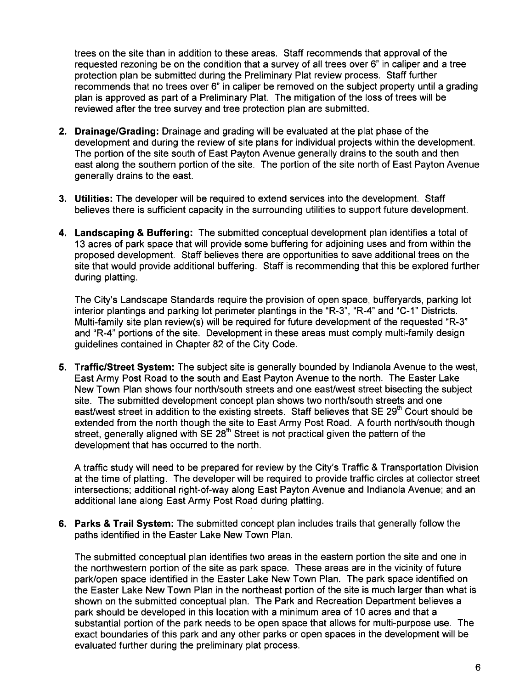trees on the site than in addition to these areas. Staff recommends that approval of the requested rezoning be on the condition that a survey of all trees over 6" in caliper and a tree protection plan be submitted during the Preliminary Plat review process. Staff further recommends that no trees over 6" in caliper be removed on the subject property until a grading plan is approved as part of a Preliminary Plat. The mitigation of the loss of trees will be reviewed after the tree survey and tree protection plan are submitted.

- 2. Drainage/Grading: Drainage and grading will be evaluated at the plat phase of the development and during the review of site plans for individual projects within the development. The portion of the site south of East Payton Avenue generally drains to the south and then east along the southern portion of the site. The portion of the site north of East Payton Avenue generally drains to the east.
- 3. Utilities: The developer will be required to extend services into the development. Staff believes there is sufficient capacity in the surrounding utilities to support future development.
- 4. Landscaping & Buffering: The submitted conceptual development plan identifies a total of 13 acres of park space that will provide some buffering for adjoining uses and from within the proposed development. Staff believes there are opportunities to save additional trees on the site that would provide additional buffering. Staff is recommending that this be explored further during platting.

The City's Landscape Standards require the provision of open space, bufferyards, parking lot interior plantings and parking lot perimeter plantings in the "R-3", "R-4" and "C-1" Districts. Multi-family site plan review(s) will be required for future development of the requested "R-3" and "R-4" portions of the site. Development in these areas must comply multi-family design guidelines contained in Chapter 82 of the City Code.

5. Traffic/Street System: The subject site is generally bounded by Indianola Avenue to the west, East Army Post Road to the south and East Payton Avenue to the north. The Easter Lake New Town Plan shows four north/south streets and one east/west street bisecting the subject site. The submitted development concept plan shows two north/south streets and one east/west street in addition to the existing streets. Staff believes that SE 29<sup>th</sup> Court should be extended from the north though the site to East Army Post Road. A fourth north/south though street, generally aligned with  $SE 28<sup>th</sup>$  Street is not practical given the pattern of the development that has occurred to the north.

A traffic study will need to be prepared for review by the City's Traffic & Transportation Division at the time of platting. The developer will be required to provide traffic circles at collector street intersections; additional right-of-way along East Payton Avenue and Indianola Avenue; and an additional lane along East Army Post Road during platting.

6. Parks & Trail System: The submitted concept plan includes trails that generally follow the paths identified in the Easter Lake New Town Plan.

The submitted conceptual plan identifies two areas in the eastern portion the site and one in the northwestern portion of the site as park space. These areas are in the vicinity of future park/open space identified in the Easter Lake New Town Plan. The park space identified on the Easter Lake New Town Plan in the northeast portion of the site is much larger than what is shown on the submitted conceptual plan. The Park and Recreation Department believes a park should be developed in this location with a minimum area of 10 acres and that a substantial portion of the park needs to be open space that allows for multi-purpose use. The exact boundaries of this park and any other parks or open spaces in the development will be evaluated further during the preliminary plat process.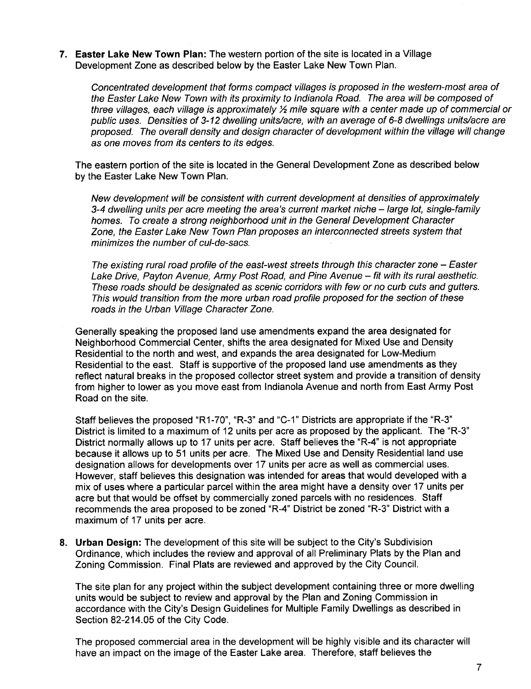7. Easter Lake New Town Plan: The western portion of the site is located in a Village Development Zone as described below by the Easter Lake New Town Plan.

Concentrated development that forms compact vilages is proposed in the western-most area of the Easter Lake New Town with its proximity to Indianola Road. The area will be composed of three villages, each village is approximately  $\frac{1}{2}$  mile square with a center made up of commercial or public uses. Densities of 3-12 dwelling units/acre, with an average of 6-8 dwellings units/acre are proposed. The overall density and design character of development within the vilage wil change as one moves from its centers to its edges.

The eastern portion of the site is located in the General Development Zone as described below by the Easter Lake New Town Plan.

New development wil be consistent with current development at densites of approximately 3-4 dwelling units per acre meeting the area's current market niche - large lot, single-family homes. To create a strong neighborhood unit in the General Development Character Zone, the Easter Lake New Town Plan proposes an interconnected streets system that minimizes the number of cul-de-sacs.

The existing rural road profile of the east-west streets through this character zone – Easter Lake Drive, Payton Avenue, Army Post Road, and Pine Avenue - fit with its rural aesthetic. These roads should be designated as scenic corridors with few or no curb cuts and gutters. This would transition from the more urban road profie proposed for the section of these roads in the Urban Vilage Character Zone.

Generally speaking the proposed land use amendments expand the area designated for Neighborhood Commercial Center, shifts the area designated for Mixed Use and Density Residential to the north and west, and expands the area designated for Low-Medium Residential to the east. Staff is supportive of the proposed land use amendments as they reflect natural breaks in the proposed collector street system and provide a transition of density from higher to lower as you move east from Indianola Avenue and north from East Army Post Road on the site.

Staff believes the proposed "R1-70", "R-3" and "C-1" Districts are appropriate if the "R-3" District is limited to a maximum of 12 units per acre as proposed by the applicant. The "R-3" District normally allows up to 17 units per acre. Staff believes the "R-4" is not appropriate because it allows up to 51 units per acre. The Mixed Use and Density Residential land use designation allows for developments over 17 units per acre as well as commercial uses. However, staff believes this designation was intended for areas that would developed with a mix of uses where a particular parcel within the area might have a density over 17 units per acre but that would be offset by commercially zoned parcels with no residences, Staff recommends the area proposed to be zoned "R-4" District be zoned "R-3" District with a maximum of 17 units per acre.

8. Urban Design: The development of this site will be subject to the City's Subdivision Ordinance, which includes the review and approval of all Preliminary Plats by the Plan and Zoning Commission. Final Plats are reviewed and approved by the City CounciL.

The site plan for any project within the subject development containing three or more dwelling units would be subject to review and approval by the Plan and Zoning Commission in accordance with the City's Design Guidelines for Multiple Family Dwellings as described in Section 82-214.05 of the City Code.

The proposed commercial area in the development will be highly visible and its character will have an impact on the image of the Easter Lake area. Therefore, staff believes the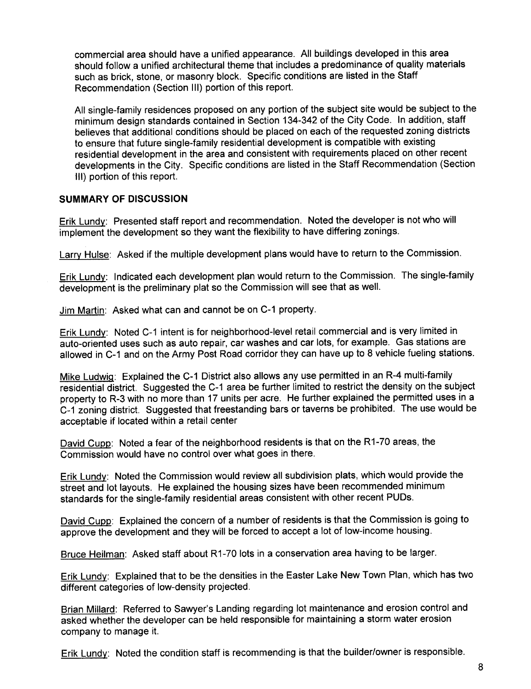commercial area should have a unified appearance. All buildings developed in this area should follow a unified architectural theme that includes a predominance of quality materials such as brick, stone, or masonry block. Specific conditions are listed in the Staff Recommendation (Section III) portion of this report.

All single-family residences proposed on any portion of the subject site would be subject to the minimum design standards contained in Section 134-342 of the City Code. In addition, staff believes that additional conditions should be placed on each of the requested zoning districts to ensure that future single-family residential development is compatible with existing residential development in the area and consistent with requirements placed on other recent developments in the City. Specific conditions are listed in the Staff Recommendation (Section III) portion of this report.

### SUMMARY OF DISCUSSION

Erik Lundy: Presented staff report and recommendation. Noted the developer is not who will implement the development so they want the flexibility to have differing zonings.

Larry Hulse: Asked if the multiple development plans would have to return to the Commission.

Erik Lundy: Indicated each development plan would return to the Commission. The single-family development is the preliminary plat so the Commission will see that as welL.

Jim Martin: Asked what can and cannot be on C-1 property.

Erik Lundy: Noted C-1 intent is for neighborhood-level retail commercial and is very limited in auto-oriented uses such as auto repair, car washes and car lots, for example. Gas stations are allowed in C-1 and on the Army Post Road corridor they can have up to 8 vehicle fueling stations.

Mike LudwiQ: Explained the C-1 District also allows any use permitted in an R-4 multi-family residential district. Suggested the C-1 area be further limited to restrict the density on the subject property to R-3 with no more than 17 units per acre. He further explained the permitted uses in a C-1 zoning district. Suggested that freestanding bars or taverns be prohibited. The use would be acceptable if located within a retail center

David Cupp: Noted a fear of the neighborhood residents is that on the R1-70 areas, the Commission would have no control over what goes in there.

Erik Lundy: Noted the Commission would review all subdivision plats, which would provide the street and lot layouts. He explained the housing sizes have been recommended minimum standards for the single-family residential areas consistent with other recent PUDs.

David Cupp: Explained the concern of a number of residents is that the Commission is going to approve the development and they will be forced to accept a lot of low-income housing.

Bruce Heilman: Asked staff about R1-70 lots in a conservation area having to be larger.

Erik Lundy: Explained that to be the densities in the Easter Lake New Town Plan, which has two different categories of low-density projected.

Brian Milard: Referred to Sawyer's Landing regarding lot maintenance and erosion control and asked whether the developer can be held responsible for maintaining a storm water erosion company to manage it.

Erik Lundy: Noted the condition staff is recommending is that the builder/owner is responsible.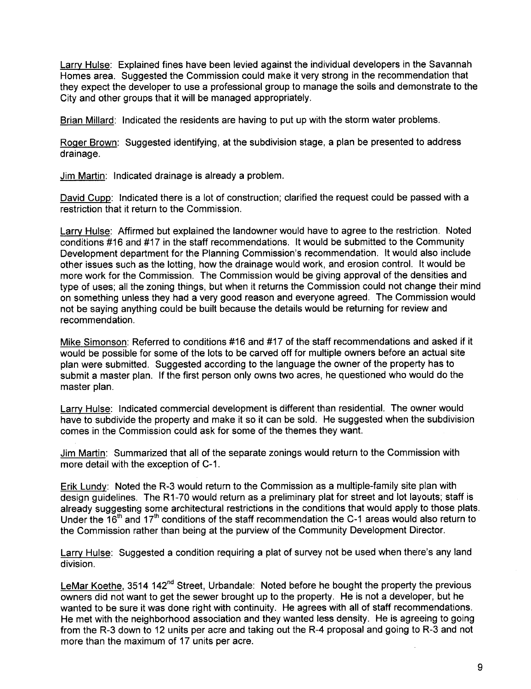Larry Hulse: Explained fines have been levied against the individual developers in the Savannah Homes area. Suggested the Commission could make it very strong in the recommendation that they expect the developer to use a professional group to manage the soils and demonstrate to the City and other groups that it will be managed appropriately.

Brian Millard: Indicated the residents are having to put up with the storm water problems.

Roger Brown: Suggested identifying, at the subdivision stage, a plan be presented to address drainage.

Jim Martin: Indicated drainage is already a problem.

David Cupp: Indicated there is a lot of construction; clarified the request could be passed with a restriction that it return to the Commission.

Larry Hulse: Affirmed but explained the landowner would have to agree to the restriction, Noted conditions #16 and #17 in the staff recommendations. It would be submitted to the Community Development department for the Planning Commission's recommendation. It would also include other issues such as the lotting, how the drainage would work, and erosion control. It would be more work for the Commission. The Commission would be giving approval of the densities and type of uses; all the zoning things, but when it returns the Commission could not change their mind on something unless they had a very good reason and everyone agreed. The Commission would not be saying anything could be built because the details would be returning for review and recommendation.

Mike Simonson: Referred to conditions #16 and #17 of the staff recommendations and asked if it would be possible for some of the lots to be carved off for multiple owners before an actual site plan were submitted. Suggested according to the language the owner of the property has to submit a master plan. If the first person only owns two acres, he questioned who would do the master plan.

Larry Hulse: Indicated commercial development is different than residential. The owner would have to subdivide the property and make it so it can be sold. He suggested when the subdivision comes in the Commission could ask for some of the themes they want.

Jim Martin: Summarized that all of the separate zonings would return to the Commission with more detail with the exception of C-1.

Erik Lundy: Noted the R-3 would return to the Commission as a multiple-family site plan with design guidelines. The R1-70 would return as a preliminary plat for street and lot layouts; staff is already suggesting some architectural restrictions in the conditions that would apply to those plats. Under the  $16<sup>th</sup>$  and  $17<sup>th</sup>$  conditions of the staff recommendation the C-1 areas would also return to the Commission rather than being at the purview of the Community Development Director.

Larry Hulse: Suggested a condition requiring a plat of survey not be used when there's any land division.

LeMar Koethe, 3514 142<sup>nd</sup> Street, Urbandale: Noted before he bought the property the previous owners did not want to get the sewer brought up to the property. He is not a developer, but he wanted to be sure it was done right with continuity. He agrees with all of staff recommendations. He met with the neighborhood association and they wanted less density. He is agreeing to going from the R-3 down to 12 units per acre and taking out the R-4 proposal and going to R-3 and not more than the maximum of 17 units per acre.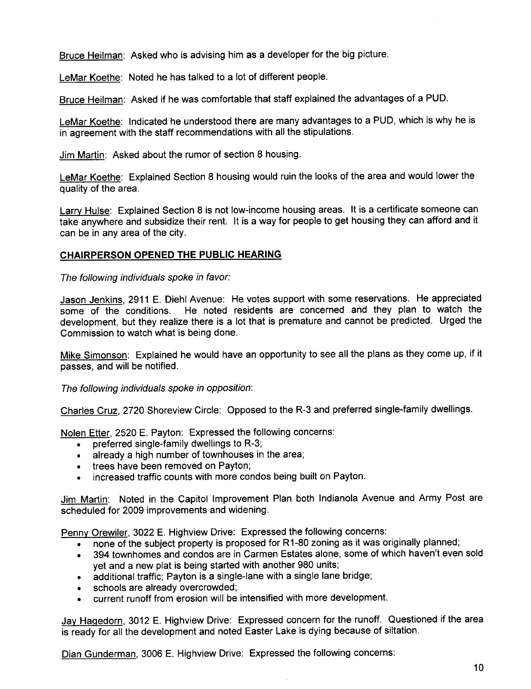Bruce Heilman: Asked who is advising him as a developer for the big picture.

LeMar Koethe: Noted he has talked to a lot of different people.

Bruce Heilman: Asked if he was comfortable that staff explained the advantages of a PUD.

LeMar Koethe: Indicated he understood there are many advantages to a PUD, which is why he is in agreement with the staff recommendations with all the stipulations.

Jim Martin: Asked about the rumor of section 8 housing.

LeMar Koethe: Explained Section 8 housing would ruin the looks of the area and would lower the quality of the area.

Larry Hulse: Explained Section 8 is not low-income housing areas. It is a certificate someone can take anywhere and subsidize their rent. It is a way for people to get housing they can afford and it can be in any area of the city.

## CHAIRPERSON OPENED THE PUBLIC HEARING

The following individuals spoke in favor:

Jason Jenkins, 2911 E. Diehl Avenue: He votes support with some reservations. He appreciated some of the conditions. He noted residents are concerned and they plan to watch the development, but they realize there is a lot that is premature and cannot be predicted. Urged the Commission to watch what is being done.

Mike Simonson: Explained he would have an opportunity to see all the plans as they come up, if it passes, and will be notified.

The following individuals spoke in opposition:

Charles Cruz, 2720 Shoreview Circle: Opposed to the R-3 and preferred single-family dwellings.

Nolen Etter, 2520 E. Payton: Expressed the following concerns:

- **.** preferred single-family dwellings to R-3;
- . already a high number of townhouses in the area;
- . trees have been removed on Payton;
- . increased traffic counts with more condos being built on Payton.

Jim Martin: Noted in the Capitol Improvement Plan both Indianola Avenue and Army Post are scheduled for 2009 improvements and widening.

Penny Orewiler, 3022 E. Highview Drive: Expressed the following concerns:

- none of the subject property is proposed for R1-80 zoning as it was originally planned;
- . 394 townhomes and condos are in Carmen Estates alone, some of which haven't even sold yet and a new plat is being started with another 980 units;
- . additional traffic; Payton is a single-lane with a single lane bridge;
- . schools are already overcrowded;
- . current runoff from erosion will be intensified with more development.

Jay HaQedorn, 3012 E. Highview Drive: Expressed concern for the runoff. Questioned if the area is ready for all the development and noted Easter Lake is dying because of siltation,

Dian Gunderman, 3006 E. Highview Drive: Expressed the following concerns: